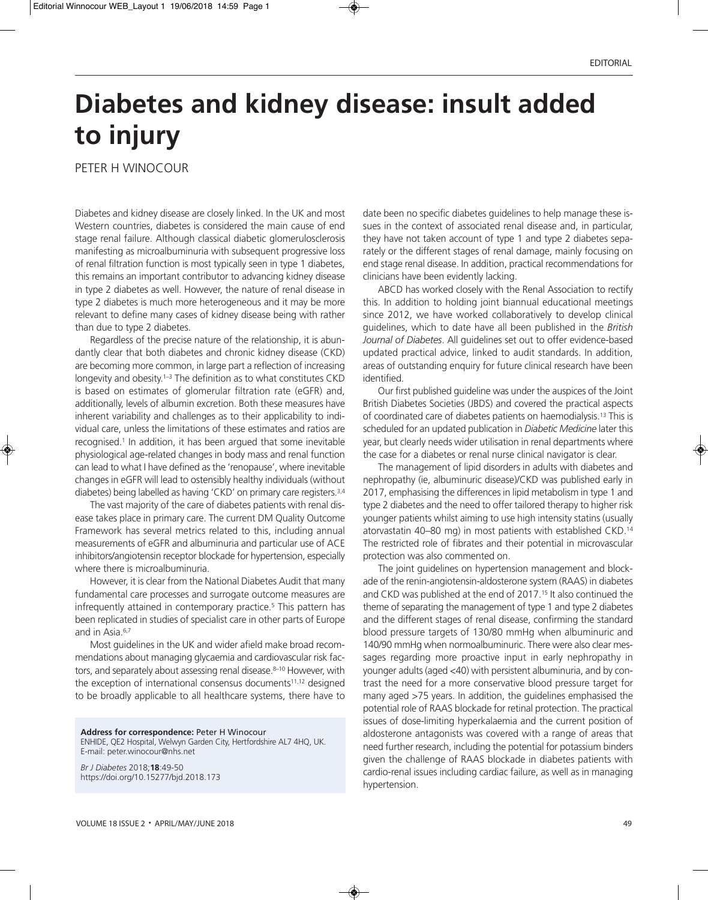## **Diabetes and kidney disease: insult added to injury**

PETER H WINOCOUR

Diabetes and kidney disease are closely linked. In the UK and most Western countries, diabetes is considered the main cause of end stage renal failure. Although classical diabetic glomerulosclerosis manifesting as microalbuminuria with subsequent progressive loss of renal filtration function is most typically seen in type 1 diabetes, this remains an important contributor to advancing kidney disease in type 2 diabetes as well. However, the nature of renal disease in type 2 diabetes is much more heterogeneous and it may be more relevant to define many cases of kidney disease being with rather than due to type 2 diabetes.

Regardless of the precise nature of the relationship, it is abundantly clear that both diabetes and chronic kidney disease (CKD) are becoming more common, in large part a reflection of increasing longevity and obesity. 1–3 The definition as to what constitutes CKD is based on estimates of glomerular filtration rate (eGFR) and, additionally, levels of albumin excretion. Both these measures have inherent variability and challenges as to their applicability to individual care, unless the limitations of these estimates and ratios are recognised. <sup>1</sup> In addition, it has been argued that some inevitable physiological age-related changes in body mass and renal function can lead to what I have defined as the 'renopause', where inevitable changes in eGFR will lead to ostensibly healthy individuals (without diabetes) being labelled as having 'CKD' on primary care registers. 3,4

The vast majority of the care of diabetes patients with renal disease takes place in primary care. The current DM Quality Outcome Framework has several metrics related to this, including annual measurements of eGFR and albuminuria and particular use of ACE inhibitors/angiotensin receptor blockade for hypertension, especially where there is microalbuminuria.

However, it is clear from the National Diabetes Audit that many fundamental care processes and surrogate outcome measures are infrequently attained in contemporary practice. <sup>5</sup> This pattern has been replicated in studies of specialist care in other parts of Europe and in Asia. 6,7

Most guidelines in the UK and wider afield make broad recommendations about managing glycaemia and cardiovascular risk factors, and separately about assessing renal disease. 8–10 However, with the exception of international consensus documents<sup>11,12</sup> designed to be broadly applicable to all healthcare systems, there have to

**Address for correspondence:** Peter H Winocour ENHIDE, QE2 Hospital, Welwyn Garden City, Hertfordshire AL7 4HQ, UK. E-mail: peter.winocour@nhs.net

*Br J Diabetes* 2018;**18**:49-50 https://doi.org/10.15277/bjd.2018.173

date been no specific diabetes guidelines to help manage these issues in the context of associated renal disease and, in particular, they have not taken account of type 1 and type 2 diabetes separately or the different stages of renal damage, mainly focusing on end stage renal disease. In addition, practical recommendations for clinicians have been evidently lacking.

ABCD has worked closely with the Renal Association to rectify this. In addition to holding joint biannual educational meetings since 2012, we have worked collaboratively to develop clinical guidelines, which to date have all been published in the *British Journal of Diabetes*. All guidelines set out to offer evidence-based updated practical advice, linked to audit standards. In addition, areas of outstanding enquiry for future clinical research have been identified.

Our first published guideline was under the auspices of the Joint British Diabetes Societies (JBDS) and covered the practical aspects of coordinated care of diabetes patients on haemodialysis. <sup>13</sup> This is scheduled for an updated publication in *Diabetic Medicine* later this year, but clearly needs wider utilisation in renal departments where the case for a diabetes or renal nurse clinical navigator is clear.

The management of lipid disorders in adults with diabetes and nephropathy (ie, albuminuric disease)/CKD was published early in 2017, emphasising the differences in lipid metabolism in type 1 and type 2 diabetes and the need to offer tailored therapy to higher risk younger patients whilst aiming to use high intensity statins (usually atorvastatin 40–80 mg) in most patients with established CKD. 14 The restricted role of fibrates and their potential in microvascular protection was also commented on.

The joint guidelines on hypertension management and blockade of the renin-angiotensin-aldosterone system (RAAS) in diabetes and CKD was published at the end of 2017. <sup>15</sup> It also continued the theme of separating the management of type 1 and type 2 diabetes and the different stages of renal disease, confirming the standard blood pressure targets of 130/80 mmHg when albuminuric and 140/90 mmHg when normoalbuminuric. There were also clear messages regarding more proactive input in early nephropathy in younger adults (aged <40) with persistent albuminuria, and by contrast the need for a more conservative blood pressure target for many aged >75 years. In addition, the guidelines emphasised the potential role of RAAS blockade for retinal protection. The practical issues of dose-limiting hyperkalaemia and the current position of aldosterone antagonists was covered with a range of areas that need further research, including the potential for potassium binders given the challenge of RAAS blockade in diabetes patients with cardio-renal issues including cardiac failure, as well as in managing hypertension.